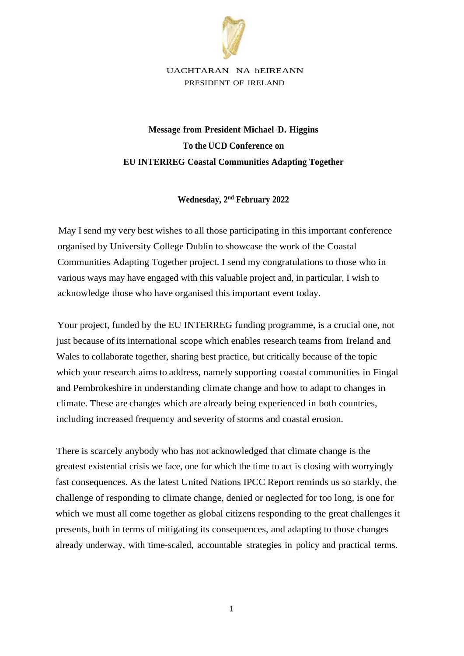

UACHTARAN NA hEIREANN PRESIDENT OF IRELAND

## **Message from President Michael D. Higgins To the UCD Conference on EU INTERREG Coastal Communities Adapting Together**

**Wednesday, 2 nd February 2022**

May I send my very best wishes to all those participating in this important conference organised by University College Dublin to showcase the work of the Coastal Communities Adapting Together project. I send my congratulations to those who in various ways may have engaged with this valuable project and, in particular, I wish to acknowledge those who have organised this important event today.

Your project, funded by the EU INTERREG funding programme, is a crucial one, not just because of its international scope which enables research teams from Ireland and Wales to collaborate together, sharing best practice, but critically because of the topic which your research aims to address, namely supporting coastal communities in Fingal and Pembrokeshire in understanding climate change and how to adapt to changes in climate. These are changes which are already being experienced in both countries, including increased frequency and severity of storms and coastal erosion.

There is scarcely anybody who has not acknowledged that climate change is the greatest existential crisis we face, one for which the time to act is closing with worryingly fast consequences. As the latest United Nations IPCC Report reminds us so starkly, the challenge of responding to climate change, denied or neglected for too long, is one for which we must all come together as global citizens responding to the great challenges it presents, both in terms of mitigating its consequences, and adapting to those changes already underway, with time-scaled, accountable strategies in policy and practical terms.

1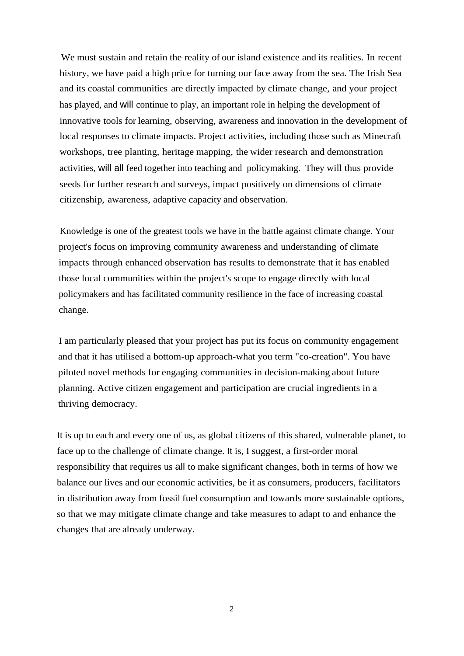We must sustain and retain the reality of our island existence and its realities. In recent history, we have paid a high price for turning our face away from the sea. The Irish Sea and its coastal communities are directly impacted by climate change, and your project has played, and will continue to play, an important role in helping the development of innovative tools for learning, observing, awareness and innovation in the development of local responses to climate impacts. Project activities, including those such as Minecraft workshops, tree planting, heritage mapping, the wider research and demonstration activities, will all feed together into teaching and policymaking. They will thus provide seeds for further research and surveys, impact positively on dimensions of climate citizenship, awareness, adaptive capacity and observation.

Knowledge is one of the greatest tools we have in the battle against climate change. Your project's focus on improving community awareness and understanding of climate impacts through enhanced observation has results to demonstrate that it has enabled those local communities within the project's scope to engage directly with local policymakers and has facilitated community resilience in the face of increasing coastal change.

I am particularly pleased that your project has put its focus on community engagement and that it has utilised a bottom-up approach-what you term "co-creation". You have piloted novel methods for engaging communities in decision-making about future planning. Active citizen engagement and participation are crucial ingredients in a thriving democracy.

It is up to each and every one of us, as global citizens of this shared, vulnerable planet, to face up to the challenge of climate change. It is, I suggest, a first-order moral responsibility that requires us all to make significant changes, both in terms of how we balance our lives and our economic activities, be it as consumers, producers, facilitators in distribution away from fossil fuel consumption and towards more sustainable options, so that we may mitigate climate change and take measures to adapt to and enhance the changes that are already underway.

2